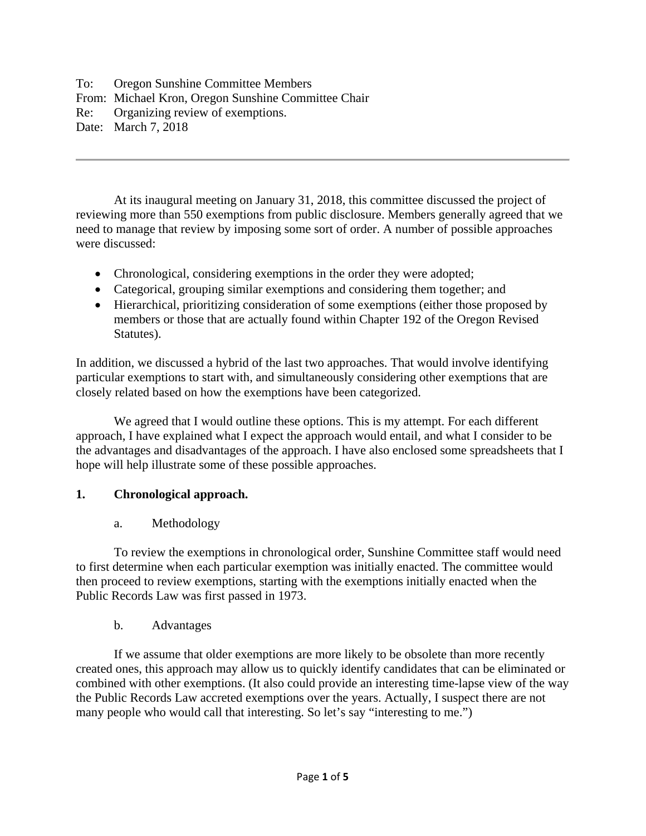To: Oregon Sunshine Committee Members From: Michael Kron, Oregon Sunshine Committee Chair Re: Organizing review of exemptions. Date: March 7, 2018

At its inaugural meeting on January 31, 2018, this committee discussed the project of reviewing more than 550 exemptions from public disclosure. Members generally agreed that we need to manage that review by imposing some sort of order. A number of possible approaches were discussed:

- Chronological, considering exemptions in the order they were adopted;
- Categorical, grouping similar exemptions and considering them together; and
- Hierarchical, prioritizing consideration of some exemptions (either those proposed by members or those that are actually found within Chapter 192 of the Oregon Revised Statutes).

In addition, we discussed a hybrid of the last two approaches. That would involve identifying particular exemptions to start with, and simultaneously considering other exemptions that are closely related based on how the exemptions have been categorized.

We agreed that I would outline these options. This is my attempt. For each different approach, I have explained what I expect the approach would entail, and what I consider to be the advantages and disadvantages of the approach. I have also enclosed some spreadsheets that I hope will help illustrate some of these possible approaches.

### **1. Chronological approach.**

a. Methodology

To review the exemptions in chronological order, Sunshine Committee staff would need to first determine when each particular exemption was initially enacted. The committee would then proceed to review exemptions, starting with the exemptions initially enacted when the Public Records Law was first passed in 1973.

b. Advantages

If we assume that older exemptions are more likely to be obsolete than more recently created ones, this approach may allow us to quickly identify candidates that can be eliminated or combined with other exemptions. (It also could provide an interesting time-lapse view of the way the Public Records Law accreted exemptions over the years. Actually, I suspect there are not many people who would call that interesting. So let's say "interesting to me.")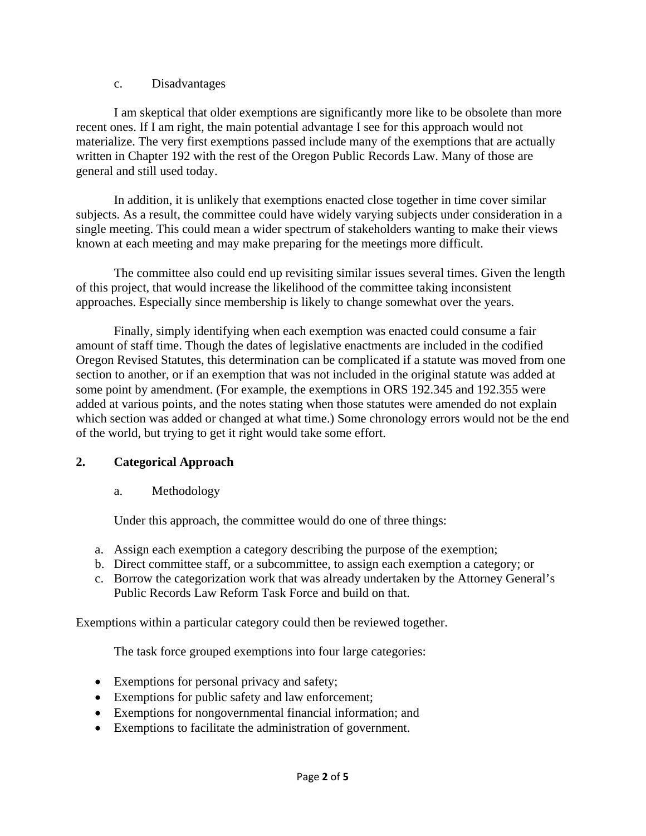#### c. Disadvantages

I am skeptical that older exemptions are significantly more like to be obsolete than more recent ones. If I am right, the main potential advantage I see for this approach would not materialize. The very first exemptions passed include many of the exemptions that are actually written in Chapter 192 with the rest of the Oregon Public Records Law. Many of those are general and still used today.

In addition, it is unlikely that exemptions enacted close together in time cover similar subjects. As a result, the committee could have widely varying subjects under consideration in a single meeting. This could mean a wider spectrum of stakeholders wanting to make their views known at each meeting and may make preparing for the meetings more difficult.

The committee also could end up revisiting similar issues several times. Given the length of this project, that would increase the likelihood of the committee taking inconsistent approaches. Especially since membership is likely to change somewhat over the years.

Finally, simply identifying when each exemption was enacted could consume a fair amount of staff time. Though the dates of legislative enactments are included in the codified Oregon Revised Statutes, this determination can be complicated if a statute was moved from one section to another, or if an exemption that was not included in the original statute was added at some point by amendment. (For example, the exemptions in ORS 192.345 and 192.355 were added at various points, and the notes stating when those statutes were amended do not explain which section was added or changed at what time.) Some chronology errors would not be the end of the world, but trying to get it right would take some effort.

### **2. Categorical Approach**

### a. Methodology

Under this approach, the committee would do one of three things:

- a. Assign each exemption a category describing the purpose of the exemption;
- b. Direct committee staff, or a subcommittee, to assign each exemption a category; or
- c. Borrow the categorization work that was already undertaken by the Attorney General's Public Records Law Reform Task Force and build on that.

Exemptions within a particular category could then be reviewed together.

The task force grouped exemptions into four large categories:

- Exemptions for personal privacy and safety;
- Exemptions for public safety and law enforcement;
- Exemptions for nongovernmental financial information; and
- Exemptions to facilitate the administration of government.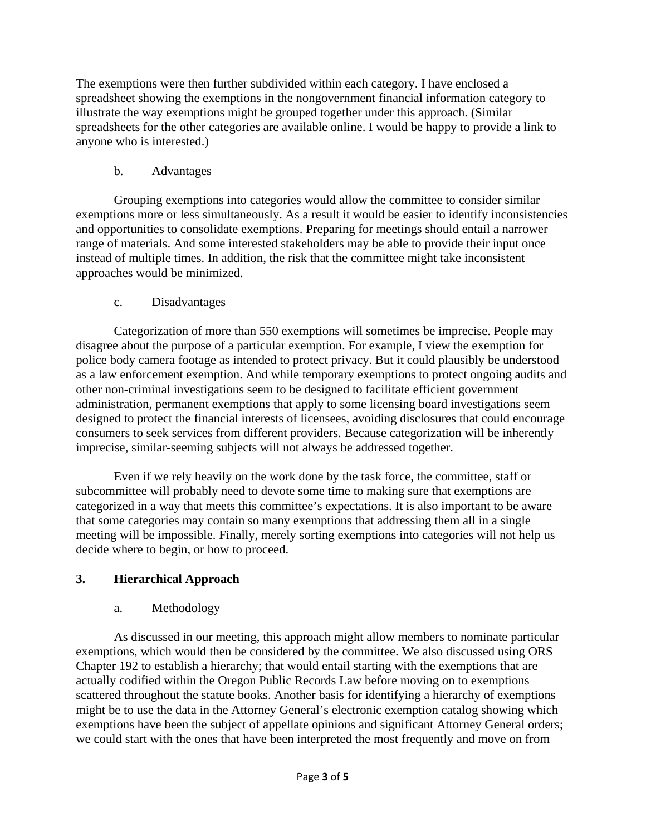The exemptions were then further subdivided within each category. I have enclosed a spreadsheet showing the exemptions in the nongovernment financial information category to illustrate the way exemptions might be grouped together under this approach. (Similar spreadsheets for the other categories are available online. I would be happy to provide a link to anyone who is interested.)

### b. Advantages

Grouping exemptions into categories would allow the committee to consider similar exemptions more or less simultaneously. As a result it would be easier to identify inconsistencies and opportunities to consolidate exemptions. Preparing for meetings should entail a narrower range of materials. And some interested stakeholders may be able to provide their input once instead of multiple times. In addition, the risk that the committee might take inconsistent approaches would be minimized.

# c. Disadvantages

Categorization of more than 550 exemptions will sometimes be imprecise. People may disagree about the purpose of a particular exemption. For example, I view the exemption for police body camera footage as intended to protect privacy. But it could plausibly be understood as a law enforcement exemption. And while temporary exemptions to protect ongoing audits and other non-criminal investigations seem to be designed to facilitate efficient government administration, permanent exemptions that apply to some licensing board investigations seem designed to protect the financial interests of licensees, avoiding disclosures that could encourage consumers to seek services from different providers. Because categorization will be inherently imprecise, similar-seeming subjects will not always be addressed together.

Even if we rely heavily on the work done by the task force, the committee, staff or subcommittee will probably need to devote some time to making sure that exemptions are categorized in a way that meets this committee's expectations. It is also important to be aware that some categories may contain so many exemptions that addressing them all in a single meeting will be impossible. Finally, merely sorting exemptions into categories will not help us decide where to begin, or how to proceed.

# **3. Hierarchical Approach**

# a. Methodology

As discussed in our meeting, this approach might allow members to nominate particular exemptions, which would then be considered by the committee. We also discussed using ORS Chapter 192 to establish a hierarchy; that would entail starting with the exemptions that are actually codified within the Oregon Public Records Law before moving on to exemptions scattered throughout the statute books. Another basis for identifying a hierarchy of exemptions might be to use the data in the Attorney General's electronic exemption catalog showing which exemptions have been the subject of appellate opinions and significant Attorney General orders; we could start with the ones that have been interpreted the most frequently and move on from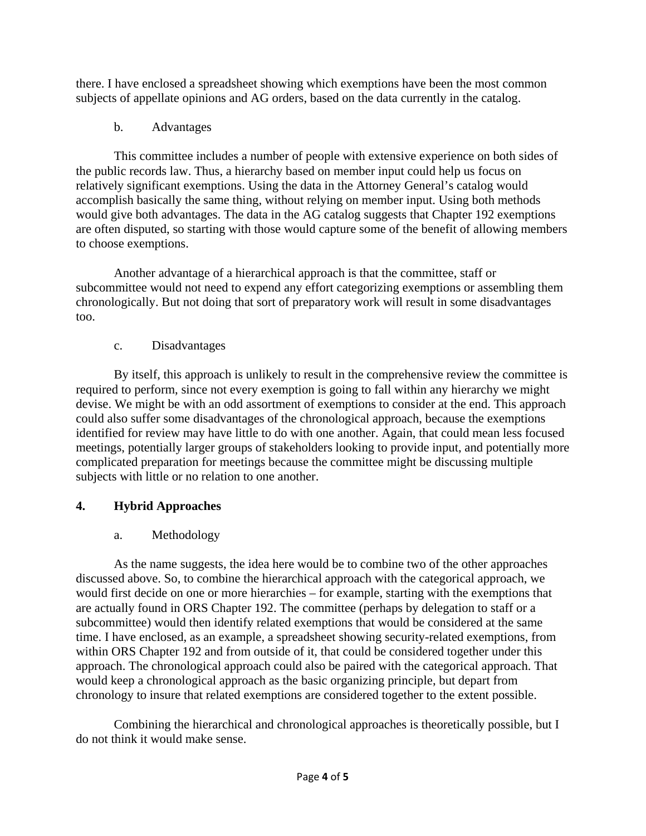there. I have enclosed a spreadsheet showing which exemptions have been the most common subjects of appellate opinions and AG orders, based on the data currently in the catalog.

b. Advantages

This committee includes a number of people with extensive experience on both sides of the public records law. Thus, a hierarchy based on member input could help us focus on relatively significant exemptions. Using the data in the Attorney General's catalog would accomplish basically the same thing, without relying on member input. Using both methods would give both advantages. The data in the AG catalog suggests that Chapter 192 exemptions are often disputed, so starting with those would capture some of the benefit of allowing members to choose exemptions.

Another advantage of a hierarchical approach is that the committee, staff or subcommittee would not need to expend any effort categorizing exemptions or assembling them chronologically. But not doing that sort of preparatory work will result in some disadvantages too.

c. Disadvantages

By itself, this approach is unlikely to result in the comprehensive review the committee is required to perform, since not every exemption is going to fall within any hierarchy we might devise. We might be with an odd assortment of exemptions to consider at the end. This approach could also suffer some disadvantages of the chronological approach, because the exemptions identified for review may have little to do with one another. Again, that could mean less focused meetings, potentially larger groups of stakeholders looking to provide input, and potentially more complicated preparation for meetings because the committee might be discussing multiple subjects with little or no relation to one another.

# **4. Hybrid Approaches**

a. Methodology

As the name suggests, the idea here would be to combine two of the other approaches discussed above. So, to combine the hierarchical approach with the categorical approach, we would first decide on one or more hierarchies – for example, starting with the exemptions that are actually found in ORS Chapter 192. The committee (perhaps by delegation to staff or a subcommittee) would then identify related exemptions that would be considered at the same time. I have enclosed, as an example, a spreadsheet showing security-related exemptions, from within ORS Chapter 192 and from outside of it, that could be considered together under this approach. The chronological approach could also be paired with the categorical approach. That would keep a chronological approach as the basic organizing principle, but depart from chronology to insure that related exemptions are considered together to the extent possible.

Combining the hierarchical and chronological approaches is theoretically possible, but I do not think it would make sense.